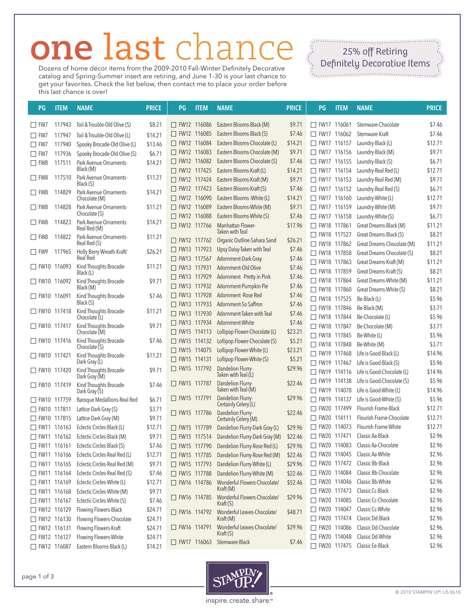## **one** last chance

Dozens of home décor items from the 2009-2010 Fall-Winter Definitely Decorative catalog and Spring-Summer insert are retiring, and June 1-30 is your last chance to get your favorites. Check the list below, then contact me to place your order before this last chance is over!

 $25\%$  off Petition Definitely Decorative Items

| PG                 | <b>ITEM</b> | <b>NAME</b>                                    | <b>PRICE</b> | PG                 | <b>ITEM</b> | <b>NAME</b>                                            | <b>PRICE</b> | PG                             | <b>ITEM</b> | <b>NAME</b>                                          | <b>PRICE</b>      |
|--------------------|-------------|------------------------------------------------|--------------|--------------------|-------------|--------------------------------------------------------|--------------|--------------------------------|-------------|------------------------------------------------------|-------------------|
| $\Box$ fw7         | 117943      | Toil & Trouble-Old Olive (S)                   | \$8.21       | □ FW12 116086      |             | Eastern Blooms-Black (M)                               | \$9.71       | $\Box$ FW17 116061             |             | Stemware-Chocolate                                   | \$7.46            |
| $\Box$ FW7         | 117947      | Toil & Trouble-Old Olive (L)                   | \$14.21      | $\Box$ FW12 116085 |             | Eastern Blooms-Black (S)                               | \$7.46       | □ FW17 116062                  |             | Stemware-Kraft                                       | \$7.46            |
| $\square$ FW7      | 117940      | Spooky Brocade-Old Olive (L)                   | \$13.46      | □ FW12 116084      |             | Eastern Blooms-Chocolate (L)                           | \$14.21      | □ FW17 116157                  |             | Laundry-Black (L)                                    | \$12.71           |
| $\Box$ FW7         | 117936      | Spooky Brocade-Old Olive (S)                   | \$6.71       | □ FW12 116083      |             | Eastern Blooms-Chocolate (M)                           | \$9.71       | FW17 116156                    |             | Laundry-Black (M)                                    | \$9.71            |
| $\square$ FW8      | 117511      | Park Avenue Ornaments-                         | \$14.21      | □ FW12 116082      |             | Eastern Blooms-Chocolate (S)                           | \$7.46       | □ FW17 116155                  |             | Laundry-Black (S)                                    | \$6.71            |
|                    |             | Black (M)                                      |              | □ FW12 117425      |             | Eastern Blooms-Kraft (L)                               | \$14.21      | $\Box$ FW17 116154             |             | Laundry-Real Red (L)                                 | \$12.71           |
| $\square$ FW8      | 117510      | Park Avenue Ornaments-<br>Black (S)            | \$11.21      | □ FW12 117424      |             | Eastern Blooms-Kraft (M)                               | \$9.71       | $\Box$ FW17 116153             |             | Laundry-Real Red (M)                                 | \$9.71            |
| $\Box$ FW8         | 114829      | Park Avenue Ornaments-                         | \$14.21      | $\Box$ FW12 117423 |             | Eastern Blooms-Kraft (S)                               | \$7.46       | $\Box$ FW17 116152             |             | Laundry-Real Red (S)                                 | \$6.71            |
|                    |             | Chocolate (M)                                  |              | □ FW12 116090      |             | Eastern Blooms - White (L)                             | \$14.21      | $\Box$ FW17 116160             |             | Laundry-White (L)                                    | \$12.71           |
| $\Box$ FW8         | 114828      | Park Avenue Ornaments-                         | \$11.21      | □ FW12 116089      |             | Eastern Blooms-White (M)                               | \$9.71       | $\Box$ FW17 116159             |             | Laundry-White (M)                                    | \$9.71            |
| $\Box$ FW8         |             | Chocolate (S)                                  |              | FW12 116088        |             | Eastern Blooms-White (S)                               | \$7.46       | □ FW17 116158                  |             | Laundry-White (S)                                    | \$6.71            |
|                    | 114823      | Park Avenue Ornaments-<br>Real Red (M)         | \$14.21      | FW12 117766        |             | Manhattan Flower-                                      | \$17.96      | □ FW18 117861                  |             | Great Dreams-Black (M)                               | \$11.21           |
| $\Box$ FW8         | 114822      | Park Avenue Ornaments-                         | \$11.21      | FW12 117762        |             | Taken with Teal<br>Organic Outline-Sahara Sand         | \$26.21      | FW18 117527                    |             | Great Dreams-Black (S)                               | \$8.21            |
|                    |             | Real Red (S)                                   |              | $\Box$ FW13 117923 |             | Upsy Daisy-Taken with Teal                             | \$7.46       | □ FW18 117862                  |             | Great Dreams-Chocolate (M)                           | \$11.21           |
| $\Box$ FW9         | 117965      | Holly Berry Wreath-Kraft/<br>Real Red          | \$26.21      | □ FW13 117567      |             | Adornment-Dark Gray                                    | \$7.46       | FW18 117858                    |             | Great Dreams-Chocolate (S)                           | \$8.21            |
| $\Box$ FW10 116093 |             | Kind Thoughts Brocade-                         | \$11.21      | $\Box$ FW13 117931 |             | Adornment-Old Olive                                    | \$7.46       | □ FW18 117863                  |             | Great Dreams-Kraft (M)                               | \$11.21           |
|                    |             | Black (L)                                      |              | □ FW13 117929      |             | Adornment - Pretty in Pink                             | \$7.46       | □ FW18 117859                  |             | Great Dreams-Kraft (S)                               | \$8.21            |
| □ FW10 116092      |             | Kind Thoughts Brocade-                         | \$9.71       | □ FW13 117932      |             | Adornment-Pumpkin Pie                                  | \$7.46       | □ FW18 117864                  |             | Great Dreams-White (M)                               | \$11.21           |
| $\Box$ FW10 116091 |             | Black (M)<br>Kind Thoughts Brocade-            | \$7.46       | □ FW13 117928      |             | Adornment - Rose Red                                   | \$7.46       | □ FW18 117860                  |             | Great Dreams-White (S)                               | \$8.21            |
|                    |             | Black (S)                                      |              | $\Box$ FW13 117933 |             | Adornment-So Saffron                                   | \$7.46       | □ FW18 117525                  |             | Be-Black (L)                                         | \$5.96            |
| $\Box$ FW10 117418 |             | Kind Thoughts Brocade-                         | \$11.21      | □ FW13 117930      |             | Adornment-Taken with Teal                              | \$7.46       | □ FW18 117846                  |             | Be-Black (M)                                         | \$3.71            |
|                    |             | Chocolate (L)                                  |              | $\Box$ FW13 117934 |             | Adornment-White                                        | \$7.46       | □ FW18 117844                  |             | Be-Chocolate (L)                                     | \$5.96            |
| □ FW10 117417      |             | Kind Thoughts Brocade-<br>Chocolate (M)        | \$9.71       | $\Box$ FW15 114113 |             | Lollipop Flower-Chocolate (L)                          | \$23.21      | □ FW18 117847                  |             | Be-Chocolate (M)                                     | \$3.71            |
| $\Box$ FW10 117416 |             | Kind Thoughts Brocade-                         | \$7.46       | $\Box$ FW15 114132 |             | Lollipop Flower-Chocolate (S)                          | \$5.21       | □ FW18 117845                  |             | Be-White (L)                                         | \$5.96            |
|                    |             | Chocolate (S)                                  |              | □ FW15 114075      |             | Lollipop Flower-White (L)                              | \$23.21      | □ FW18 117848                  |             | Be-White (M)                                         | \$3.71            |
| $\Box$ FW10 117421 |             | Kind Thoughts Brocade-<br>Dark Gray (L)        | \$11.21      | $\Box$ FW15 114131 |             | Lollipop Flower-White (S)                              | \$5.21       | □ FW19 117468<br>□ FW19 117467 |             | Life is Good-Black (L)                               | \$14.96<br>\$5.96 |
| □ FW10 117420      |             | Kind Thoughts Brocade-                         | \$9.71       | □ FW15 117792      |             | Dandelion Flurry-                                      | \$29.96      | □ FW19 114116                  |             | Life is Good-Black (S)<br>Life is Good-Chocolate (L) | \$14.96           |
|                    |             | Dark Gray (M)                                  |              |                    |             | Taken with Teal (L)                                    |              | $\Box$ FW19 114138             |             | Life is Good-Chocolate (S)                           | \$5.96            |
| □ FW10 117419      |             | Kind Thoughts Brocade-                         | \$7.46       | □ FW15 117787      |             | Dandelion Flurry-<br>Taken with Teal (M)               | \$22.46      | □ FW19 114078                  |             | Life is Good-White (L)                               | \$14.96           |
| □ FW10 117759      |             | Dark Gray $(S)$<br>Baroque Medallions-Real Red | \$6.71       | □ FW15 117791      |             | Dandelion Flurry-                                      | \$29.96      | □ FW19 114137                  |             | Life is Good-White (S)                               | \$5.96            |
| □ FW10 117811      |             | Lattice-Dark Gray (S)                          | \$3.71       |                    |             | Certainly Celery (L)                                   |              | □ FW20 117499                  |             | Flourish Frame-Black                                 | \$12.71           |
| □ FW10 117815      |             | Lattice-Dark Gray (M)                          | \$9.71       | □ FW15 117786      |             | Dandelion Flurry-                                      | \$22.46      | □ FW20 114111                  |             | Flourish Frame-Chocolate                             | \$12.71           |
| $\Box$ FW11 116163 |             | Eclectic Circles-Black (L)                     | \$12.71      | □ FW15 117789      |             | Certainly Celery (M)<br>Dandelion Flurry-Dark Gray (L) | \$29.96      | □ FW20 114073                  |             | Flourish Frame-White                                 | \$12.71           |
| $\Box$ FW11 116162 |             | Eclectic Circles-Black (M)                     | \$9.71       | $\Box$ FW15        | 117514      | Dandelion Flurry-Dark Gray (M)                         | \$22.46      | $\Box$ FW20 117471             |             | Classic Aa-Black                                     | \$2.96            |
| $\Box$ FW11 116161 |             | Eclectic Circles-Black (S)                     | \$7.46       | □ FW15 117790      |             | Dandelion Flurry-Rose Red (L)                          | \$29.96      | □ FW20 114083                  |             | Classic Aa-Chocolate                                 | \$2.96            |
| □ FW11 116166      |             | Eclectic Circles-Real Red (L)                  | \$12.71      | □ FW15 117785      |             | Dandelion Flurry-Rose Red (M)                          | \$22.46      | □ FW20 114045                  |             | Classic Aa-White                                     | \$2.96            |
| □ FW11 116165      |             | Eclectic Circles-Real Red (M)                  | \$9.71       | □ FW15 117793      |             | Dandelion Flurry-White (L)                             | \$29.96      | FW20 117472                    |             | Classic Bb-Black                                     | \$2.96            |
| □ FW11 116164      |             | Eclectic Circles-Real Red (S)                  | \$7.46       | □ FW15 117788      |             | Dandelion Flurry-White (M)                             | \$22.46      | FW20 114084                    |             | Classic Bb-Chocolate                                 | \$2.96            |
| □ FW11 116169      |             | Eclectic Circles-White (L)                     | \$12.71      | □ FW16 114786      |             | Wonderful Flowers-Chocolate/                           | \$52.46      | □ FW20 114046                  |             | Classic Bb-White                                     | \$2.96            |
| □ FW11 116168      |             | Eclectic Circles-White (M)                     | \$9.71       |                    |             | Kratt(M)                                               |              | □ FW20 117473                  |             | Classic Cc-Black                                     | \$2.96            |
| □ FW11 116167      |             | Eclectic Circles-White (S)                     | \$7.46       | □ FW16 114785      |             | Wonderful Flowers-Chocolate/                           | \$29.96      | □ FW20 114085                  |             | Classic Cc-Chocolate                                 | \$2.96            |
| □ FW12 116129      |             | Flowing Flowers-Black                          | \$24.71      | $\Box$ FW16 114792 |             | Krat(S)<br>Wonderful Leaves-Chocolate/                 | \$48.71      | □ FW20 114047                  |             | Classic Cc-White                                     | \$2.96            |
| □ FW12 116130      |             | Flowing Flowers-Chocolate                      | \$24.71      |                    |             | Kraft(M)                                               |              | □ FW20 117474                  |             | Classic Dd-Black                                     | \$2.96            |
| □ FW12 116131      |             | Flowing Flowers-Kraft                          | \$24.71      | □ FW16 114791      |             | Wonderful Leaves-Chocolate/                            | \$29.96      | FW20 114086                    |             | Classic Dd-Chocolate                                 | \$2.96            |
| □ FW12 116127      |             | Flowing Flowers-White                          | \$24.71      |                    |             | Krat(S)                                                |              | □ FW20 114048                  |             | Classic Dd-White                                     | \$2.96            |
| □ FW12 116087      |             | Eastern Blooms-Black (L)                       | \$14.21      | □ FW17 116063      |             | Stemware-Black                                         | \$7.46       | □ FW20 117475                  |             | Classic Ee-Black                                     | \$2.96            |



inspire.create.share.™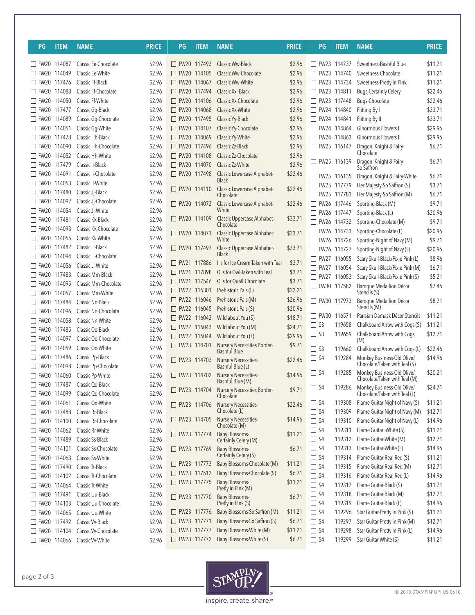| PG                 | <b>ITEM</b> | <b>NAME</b>          | <b>PRICE</b> | PG                 | <b>ITEM</b> | <b>NAME</b>                                   | <b>PRICE</b> | PG                 | <b>ITEM</b> | <b>NAME</b>                                                 | <b>PRICE</b> |
|--------------------|-------------|----------------------|--------------|--------------------|-------------|-----------------------------------------------|--------------|--------------------|-------------|-------------------------------------------------------------|--------------|
| □ FW20 114087      |             | Classic Ee-Chocolate | \$2.96       | □ FW20 117493      |             | Classic Ww-Black                              | \$2.96       | $\Box$ FW23 114737 |             | Sweetness-Bashful Blue                                      | \$11.21      |
| □ FW20 114049      |             | Classic Ee-White     | \$2.96       | $\Box$ FW20 114105 |             | Classic Ww-Chocolate                          | \$2.96       | $\Box$ FW23 114740 |             | Sweetness-Chocolate                                         | \$11.21      |
| □ FW20 117476      |             | Classic Ff-Black     | \$2.96       | □ FW20 114067      |             | Classic Ww-White                              | \$2.96       | □ FW23 114734      |             | Sweetness-Pretty in Pink                                    | \$11.21      |
| □ FW20 114088      |             | Classic Ff-Chocolate | \$2.96       | □ FW20 117494      |             | Classic Xx - Black                            | \$2.96       | □ FW23 114811      |             | <b>Bugs-Certainly Celery</b>                                | \$22.46      |
| □ FW20 114050      |             | Classic Ff-White     | \$2.96       | □ FW20 114106      |             | Classic Xx-Chocolate                          | \$2.96       | □ FW23 117448      |             | Bugs-Chocolate                                              | \$22.46      |
| $\Box$ FW20        | 117477      | Classic Gq-Black     | \$2.96       | □ FW20 114068      |             | Classic Xx-White                              | \$2.96       | □ FW24 114840      |             | Flitting By I                                               | \$33.71      |
| $\Box$ FW20        | 114089      | Classic Gq-Chocolate | \$2.96       | □ FW20 117495      |             | Classic Yy-Black                              | \$2.96       | □ FW24 114841      |             | Flitting By II                                              | \$33.71      |
| $\Box$ FW20        | 114051      | Classic Gq-White     | \$2.96       | □ FW20 114107      |             | Classic Yy-Chocolate                          | \$2.96       | □ FW24 114864      |             | Ginormous Flowers I                                         | \$29.96      |
| $\Box$ FW20        | 117478      | Classic Hh-Black     | \$2.96       | □ FW20 114069      |             | Classic Yy-White                              | \$2.96       | □ FW24 114863      |             | Ginormous Flowers II                                        | \$29.96      |
| $\Box$ FW20        | 114090      | Classic Hh-Chocolate | \$2.96       | □ FW20 117496      |             | Classic Zz-Black                              | \$2.96       | $\Box$ FW25 116147 |             | Dragon, Knight & Fairy-                                     | \$6.71       |
| $\Box$ FW20        | 114052      | Classic Hh-White     | \$2.96       | $\Box$ FW20 114108 |             | Classic Zz-Chocolate                          | \$2.96       |                    |             | Chocolate                                                   |              |
| $\Box$ FW20        | 117479      | Classic Ii-Black     | \$2.96       | □ FW20 114070      |             | Classic Zz-White                              | \$2.96       | □ FW25 116139      |             | Dragon, Knight & Fairy-<br>So Saffron                       | \$6.71       |
| $\Box$ FW20        | 114091      | Classic li-Chocolate | \$2.96       | □ FW20 117498      |             | Classic Lowercase Alphabet-                   | \$22.46      | $\Box$ FW25 116135 |             | Dragon, Knight & Fairy-White                                | \$6.71       |
| $\Box$ FW20        | 114053      | Classic li-White     | \$2.96       |                    |             | <b>Black</b>                                  |              | $\Box$ FW25 117779 |             | Her Majesty-So Saffron (S)                                  | \$3.71       |
| □ FW20 117480      |             | Classic Ji-Black     | \$2.96       | □ FW20 114110      |             | Classic Lowercase Alphabet-<br>Chocolate      | \$22.46      | □ FW25 117783      |             | Her Majesty-So Saffron (M)                                  | \$6.71       |
| □ FW20 114092      |             | Classic Jj-Chocolate | \$2.96       | □ FW20 114072      |             | Classic Lowercase Alphabet-                   | \$22.46      | □ FW26 117446      |             | Sporting-Black (M)                                          | \$9.71       |
| □ FW20 114054      |             | Classic Jj-White     | \$2.96       |                    |             | White                                         |              | □ FW26 117447      |             | Sporting-Black (L)                                          | \$20.96      |
| $\Box$ FW20 117481 |             | Classic Kk-Black     | \$2.96       | □ FW20 114109      |             | Classic Uppercase Alphabet-                   | \$33.71      | □ FW26 114732      |             | Sporting-Chocolate (M)                                      | \$9.71       |
| □ FW20 114093      |             | Classic Kk-Chocolate | \$2.96       |                    |             | Chocolate                                     |              | □ FW26 114733      |             | Sporting-Chocolate (L)                                      | \$20.96      |
| □ FW20 114055      |             | Classic Kk-White     | \$2.96       | FW20 114071        |             | Classic Uppercase Alphabet-<br>White          | \$33.71      | □ FW26 114726      |             | Sporting-Night of Navy (M)                                  | \$9.71       |
| FW20 117482        |             | Classic Ll-Black     | \$2.96       | □ FW20 117497      |             | Classic Uppercase Alphabet-                   | \$33.71      | □ FW26 114727      |             | Sporting-Night of Navy (L)                                  | \$20.96      |
| □ FW20 114094      |             | Classic Ll-Chocolate | \$2.96       |                    |             | <b>Black</b>                                  |              | □ FW27 116055      |             | Scary Skull-Black/Pixie Pink (L)                            | \$8.96       |
| □ FW20 114056      |             | Classic Ll-White     | \$2.96       | □ FW21 117886      |             | I is for Ice Cream-Taken with Teal            | \$3.71       | □ FW27 116054      |             | Scary Skull-Black/Pixie Pink (M)                            | \$6.71       |
| □ FW20 117483      |             | Classic Mm-Black     | \$2.96       | □ FW21 117898      |             | O is for Owl-Taken with Teal                  | \$3.71       | □ FW27 116053      |             | Scary Skull-Black/Pixie Pink (S)                            | \$5.21       |
| □ FW20 114095      |             | Classic Mm-Chocolate | \$2.96       | □ FW21 117546      |             | Q is for Quail-Chocolate                      | \$3.71       | □ FW30 117582      |             | Baroque Medallion Décor                                     | \$7.46       |
| □ FW20 114057      |             | Classic Mm-White     | \$2.96       | □ FW22 116301      |             | Prehistoric Pals (L)                          | \$32.21      |                    |             | Stencils (S)                                                |              |
| $\Box$ FW20        | 117484      | Classic Nn-Black     | \$2.96       | □ FW22 116046      |             | Prehistoric Pals (M)                          | \$26.96      | □ FW30 117973      |             | Baroque Medallion Décor                                     | \$8.21       |
| $\Box$ FW20        | 114096      | Classic Nn-Chocolate | \$2.96       | □ FW22 116045      |             | Prehistoric Pals (S)                          | \$20.96      |                    |             | Stencils (M)                                                |              |
| $\Box$ FW20        | 114058      | Classic Nn-White     | \$2.96       | □ FW22 116042      |             | Wild about You (S)                            | \$18.71      | $\Box$ FW30 116571 |             | Parisian Damask Décor Stencils                              | \$11.21      |
| $\Box$ FW20        | 117485      | Classic Oo-Black     | \$2.96       | □ FW22 116043      |             | Wild about You (M)                            | \$24.71      | $\Box$ S3          | 119658      | Chalkboard Arrow with Cogs (S)                              | \$11.21      |
| $\Box$ FW20        | 114097      | Classic Oo-Chocolate | \$2.96       | FW22 116044        |             | Wild about You (L)                            | \$29.96      | $\Box$ S3          | 119659      | Chalkboard Arrow with Cogs<br>(M)                           | \$12.71      |
| $\Box$ FW20        | 114059      | Classic Oo-White     | \$2.96       | □ FW23 114701      |             | Nursery Necessities Border-                   | \$9.71       | $\Box$ S3          | 119660      | Chalkboard Arrow with Cogs (L)                              | \$22.46      |
| □ FW20 117486      |             | Classic Pp-Black     | \$2.96       |                    |             | Bashful Blue<br>Nursery Necessities-          |              | $\Box$ S4          | 119284      | Monkey Business-Old Olive/                                  | \$14.96      |
| $\Box$ FW20        | 114098      | Classic Pp-Chocolate | \$2.96       | $\Box$ FW23 114703 |             | Bashful Blue (L)                              | \$22.46      |                    |             | Chocolate/Taken with Teal (S)                               |              |
| □ FW20 114060      |             | Classic Pp-White     | \$2.96       | $\Box$ FW23 114702 |             | Nursery Necessities-                          | \$14.96      | $\Box$ S4          | 119285      | Monkey Business-Old Olive/                                  | \$20.21      |
| □ FW20 117487      |             | Classic Qq-Black     | \$2.96       |                    |             | Bashful Blue (M)                              |              |                    |             | Chocolate/Taken with Teal (M)                               | \$24.71      |
| □ FW20 114099      |             | Classic Qq-Chocolate | \$2.96       | □ FW23 114704      |             | Nursery Necessities Border-<br>Chocolate      | \$9.71       | $\Box$ S4          | 119286      | Monkey Business-Old Olive/<br>Chocolate/Taken with Teal (L) |              |
| □ FW20 114061      |             | Classic Qq-White     | \$2.96       | □ FW23 114706      |             | Nursery Necessities-                          | \$22.46      | $\Box$ S4          | 119308      | Flame Guitar-Night of Navy (S)                              | \$11.21      |
| □ FW20 117488      |             | Classic Rr-Black     | \$2.96       |                    |             | Chocolate (L)                                 |              | $\Box$ S4          | 119309      | Flame Guitar-Night of Navy (M)                              | \$12.71      |
| □ FW20 114100      |             | Classic Rr-Chocolate | \$2.96       | $\Box$ FW23 114705 |             | Nursery Necessities-                          | \$14.96      | $\Box$ S4          | 119310      | Flame Guitar-Night of Navy (L)                              | \$14.96      |
| $\Box$ FW20        | 114062      | Classic Rr-White     | \$2.96       |                    |             | Chocolate (M)                                 |              | $\Box$ S4          | 119311      | Flame Guitar - White (S)                                    | \$11.21      |
| □ FW20 117489      |             | Classic Ss-Black     | \$2.96       | $\Box$ FW23 117774 |             | <b>Baby Blossoms-</b><br>Certainly Celery (M) | \$11.21      | $\Box$ S4          | 119312      | Flame Guitar-White (M)                                      | \$12.71      |
| □ FW20 114101      |             | Classic Ss-Chocolate | \$2.96       | □ FW23 117769      |             | <b>Baby Blossoms-</b>                         | \$6.71       | $\Box$ S4          | 119313      | Flame Guitar-White (L)                                      | \$14.96      |
| □ FW20 114063      |             | Classic Ss-White     | \$2.96       |                    |             | Certainly Celery (S)                          |              | $\Box$ S4          | 119314      | Flame Guitar-Real Red (S)                                   | \$11.21      |
| □ FW20 117490      |             | Classic Tt-Black     | \$2.96       | □ FW23 117773      |             | Baby Blossoms-Chocolate (M)                   | \$11.21      | $\square$ S4       | 119315      | Flame Guitar-Real Red (M)                                   | \$12.71      |
| □ FW20 114102      |             | Classic Tt-Chocolate | \$2.96       | □ FW23 117512      |             | Baby Blossoms-Chocolate (S)                   | \$6.71       | $\Box$ S4          | 119316      | Flame Guitar-Real Red (L)                                   | \$14.96      |
| □ FW20 114064      |             | Classic Tt-White     | \$2.96       | □ FW23 117775      |             | <b>Baby Blossoms-</b>                         | \$11.21      | $\square$ S4       | 119317      | Flame Guitar-Black (S)                                      | \$11.21      |
| □ FW20 117491      |             | Classic Uu-Black     | \$2.96       | □ FW23 117770      |             | Pretty in Pink (M)<br><b>Baby Blossoms-</b>   | \$6.71       | $\Box$ S4          | 119318      | Flame Guitar-Black (M)                                      | \$12.71      |
| □ FW20 114103      |             | Classic Uu-Chocolate | \$2.96       |                    |             | Pretty in Pink (S)                            |              | $\Box$ S4          | 119319      | Flame Guitar-Black (L)                                      | \$14.96      |
| □ FW20 114065      |             | Classic Uu-White     | \$2.96       | $\Box$ FW23 117776 |             | Baby Blossoms-So Saffron (M)                  | \$11.21      | $\Box$ S4          | 119296      | Star Guitar-Pretty in Pink (S)                              | \$11.21      |
| □ FW20 117492      |             | Classic Vv-Black     | \$2.96       | □ FW23 117771      |             | Baby Blossoms-So Saffron (S)                  | \$6.71       | $\square$ S4       | 119297      | Star Guitar-Pretty in Pink (M)                              | \$12.71      |
| □ FW20 114104      |             | Classic Vv-Chocolate | \$2.96       | □ FW23 117777      |             | Baby Blossoms-White (M)                       | \$11.21      | $\Box$ S4          | 119298      | Star Guitar-Pretty in Pink (L)                              | \$14.96      |
| □ FW20 114066      |             | Classic Vv-White     | \$2.96       | □ FW23 117772      |             | Baby Blossoms-White (S)                       | \$6.71       | $\Box$ S4          | 119299      | Star Guitar-White (S)                                       | \$11.21      |